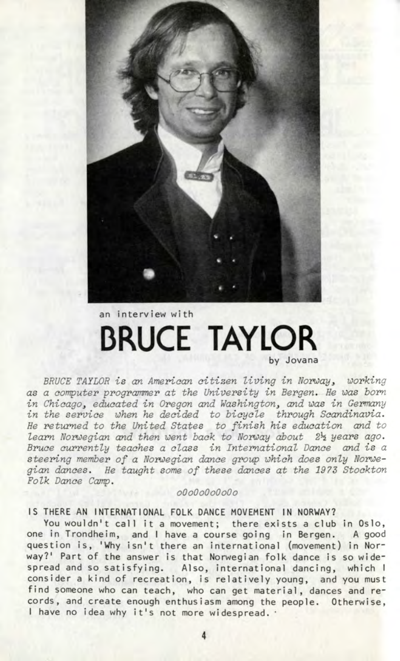

# **an intervlew wi th BRUCE TAYLOR by Jovana**

BRUCE TAYLOR is an American citizen living in Norway, working as a computer programmer at the University in Bergen. He was born in Chicago, educated in Oregon and Washington, and was in Germany in the service when he decided to bicycle through Scandinavia. He returned to the United States to finish his education and to learn Norwegian and then went back to Norway about 2h years ago. Bruce currently teaches a class in International Dance and is a steering member of a Norwegian dance group which does only Norwegian dances. He taught some of these dances at the 1973 Stockton Folk Dance Camp.

### oOoOoOoOoOo

### **IS THERE AN INTERNATIONAL FOLK DANCE MOVEMENT IN NORWAY?**

You wouldn't call it a movement; there exists a club in Oslo, **one in Trondheim , and I have a course goin g in Bergen. A good** question is, 'Why isn't there an international (movement) in Nor**way?' Part of the answer is that Norwegian folk dance is so widespread and so satisfying . Also, internationa l dancing , whic h I** consider a kind of recreation, is relatively young, and you must find someone who can teach, who can get material, dances and re**cords, and create enough enthusias m among the people. Otherwise ,** I have no idea why it's not more widespread.  $\cdot$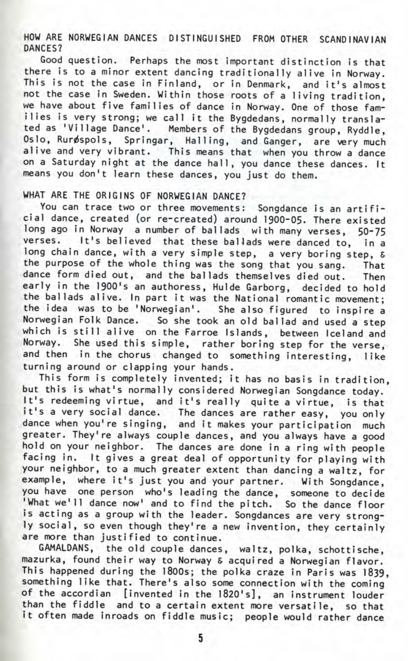HOW ARE NORWEGIAN DANCES DISTINGUISHED FROM OTHER SCANDINAVIAN DANCES?

Good question. Perhaps the most important distinction is that there is to a minor extent dancing traditionally alive in Norway. This is not the case in Finland, or in Denmark, and it's almost not the case in Sweden. Within those roots of a living tradition, we have about five families of dance in Norway. One of those families is very strong; we call it the Bygdedans, normally translated as 'Village Dance'. Members of the Bygdedans group, Ryddle. Oslo, Rurøspols, Springar, Halling, and Ganger, are very much alive and very vibrant. This means that when you throw a dance on a Saturday night at the dance hall , you dance these dances. It means you don't learn these dances, you just do them.

### WHAT ARE THE ORIGINS OF NORWEGIAN DANCE?

You can trace two or three movements: Songdance is an artificial dance, created (or re-created) around 1900-05. There existed long ago in Norway a number of ballads with many verses, 50-75 verses. It's believed that these ballads were danced to, in a long chain dance, with a very simple step, a very boring step, & the purpose of the whole thing was the song that you sang. That dance form died out, and the ballads themselves died out. Then early in the 1900's an authoress, Hulde Garborg, decided to hold the ballads alive. In part it was the National romantic movement: the idea was to be 'Norwegian'. She also figured to inspire a Norwegian Folk Dance. So she took an old ballad and used a step which is still alive on the Farroe Islands, between Iceland and Norway. She used this simple, rather boring step for the verse, and then in the chorus changed to something interesting, like turning around or clapping your hands.

This form is completely invented; it has no basis in tradition, but this is what's normally considered Norwegian Songdance today. It's redeeming virtue, and it's really quite a virtue, is that t's a very social dance. The dances are rather easy, you only dance when you're singing , and it makes your participation much greater. They're always couple dances, and you always have a good hold on your neighbor. The dances are done in a ring with people facing in. It gives a great deal of opportunity for playing with your neighbor, to a much greater extent than dancing a waltz, for example, where it's just you and your partner. With Songdance, you have one person who's leading the dance, someone to decide 'What we'll dance now' and to find the pitch. So the dance floor is acting as a group with the leader. Songdances are very strongly social, so even though they're a new invention, they certainly are more than justified to continue.

GAMALDANS, the old couple dances, waltz, polka, schottische, mazurka, found their way to Norway & acquired a Norwegian flavor. This happened during the 1800s; the polka craze in Paris was 1839, something like that. There's also some connection with the coming of the accordian [invented in the 1820's], an instrument louder than the fiddle and to a certain extent more versatile, so that it often made inroads on fiddle music; people would rather dance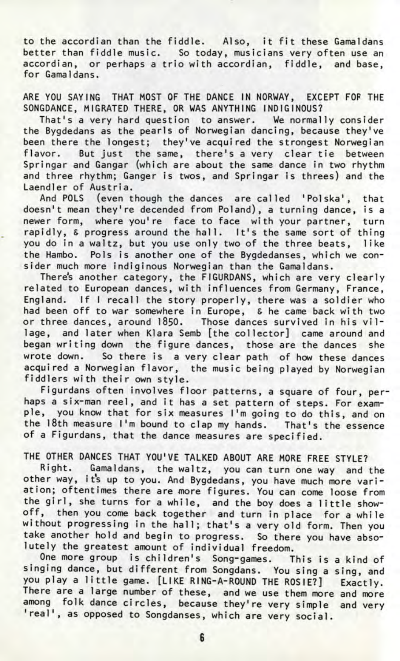to the accordian than the fiddle. Also, it fit these Gamaldans better than fiddle music. So today, musicians very often use an accordian, or perhaps a trio with accordian, fiddle, and base, for Gamaldans.

ARE YOU SAYING THAT MOST OF THE DANCE IN NORWAY, EXCEPT FOP THE SONGDANCE, MIGRATED THERE, OR WAS ANYTHING INDIGINOUS?

That's a very hard question to answer. We normally consider the Bygdedans as the pearls of Norwegian dancing, because they've been there the longest; they've acquired the strongest Norwegian flavor. But just the same, there's a very clear tie between Springar and Gangar (which are about the same dance in two rhythm and three rhythm; Ganger is twos, and Springar is threes) and the Laendler of Austria.

And POLS (even though the dances are called 'Polska', that doesn't mean they're decended from Poland), a turning dance, is a newer form, where you're face to face with your partner, turn rapidly, & progress around the hall. It's the same sort of thing you do in a waltz, but you use only two of the three beats, like the Hambo. Pols is another one of the Bygdedanses, which we consider much more indiginous Norwegian than the Gamaldans.

There's another category, the FIGURDANS, which are very clearly related to European dances, with influences from Germany, France, England. If I recall the story properly, there was a soldier who had been off to war somewhere in Europe, & he came back with two or three dances, around 1850. Those dances survived in his vil lage, and later when Klara Semb [the collector] came around and began writing down the figure dances, those are the dances she wrote down. So there is a very clear path of how these dances acquired a Norwegian flavor, the music being played by Norwegian fiddlers with their own style.

Figurdans often involves floor patterns, a square of four, perhaps a six-man reel, and it has a set pattern of steps. For example, you know that for six measures I'm going to do this, and on the 18th measure I'm bound to clap my hands. That's the essence of a Figurdans, that the dance measures are specified.

## THE OTHER DANCES THAT YOU'VE TALKED ABOUT ARE MORE FREE STYLE?

Right. Gamaldans, the waltz, you can turn one way and the other way, its up to you. And Bygdedans, you have much more variation; oftentimes there are more figures. You can come loose from the girl, she turns for a while, and the boy does a little showoff, then you come back together and turn in place for a while without progressing in the hall; that's a very old form. Then you take another hold and begin to progress. So there you have absolutely the greatest amount of individual freedom.

One more group is children's Song-games. This is a kind of singing dance, but different from Songdans. You sing a sing, and you play a little game. [LIKE RING-A-ROUND THE ROSIE?] Exactly. There are a large number of these, and we use them more and more among folk dance circles, because they're very simple and very 'real', as opposed to Songdanses, which are very social.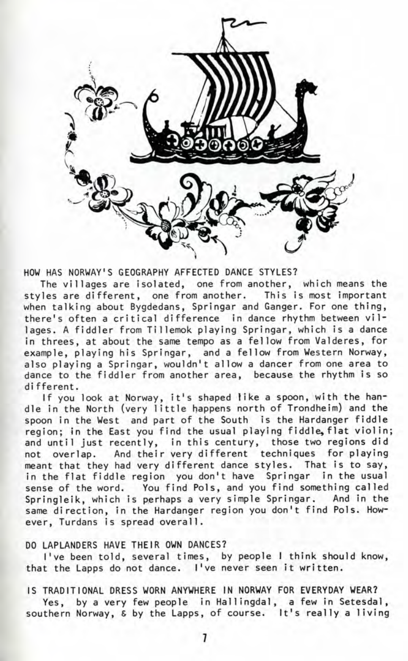

HOW HAS NORWAY'S GEOGRAPHY AFFECTED DANCE STYLES?

The villages are isolated, one from another, which means the<br>les are different, one from another. This is most important styles are different, one from another. when talking about Bygdedans, Springar and Ganger. For one thing, there's often a critical difference in dance rhythm between villages. A fiddler from Tillemok playing Springar, which is a dance in threes, at about the same tempo as a fellow from Valderes, for example, playing his Springar, and a fellow from Western Norway, also playing a Springar, wouldn't allow a dancer from one area to dance to the fiddler from another area, because the rhythm is so di fferent.

If you look at Norway, it's shaped 1ike a spoon, with the handle in the North (very little happens north of Trondheim) and the spoon in the West and part of the South is the Hardanger fiddle region; in the East you find the usual playing fiddle, flat violin; and until just recently, in this century, those two regions did not overlap. And their very different techniques for playing meant that they had very different dance styles. That is to say, in the flat fiddle region you don't have Springar in the usual sense of the word. You find Pols, and you find something called Springleik, which is perhaps a very simple Springar. And in the same direction, in the Hardanger region you don't find Pols. However, Turdans is spread overall.

### DO LAPLANDERS HAVE THEIR OWN DANCES?

I've been told, several times, by people 1 think should know, that the Lapps do not dance. I've never seen it written.

### IS TRADITIONAL DRESS WORN ANYWHERE IN NORWAY FOR EVERYDAY WEAR?

Yes, by a very few people in Hallingdal, a few in Setesdal, southern Norway, & by the Lapps, of course. It's really a living